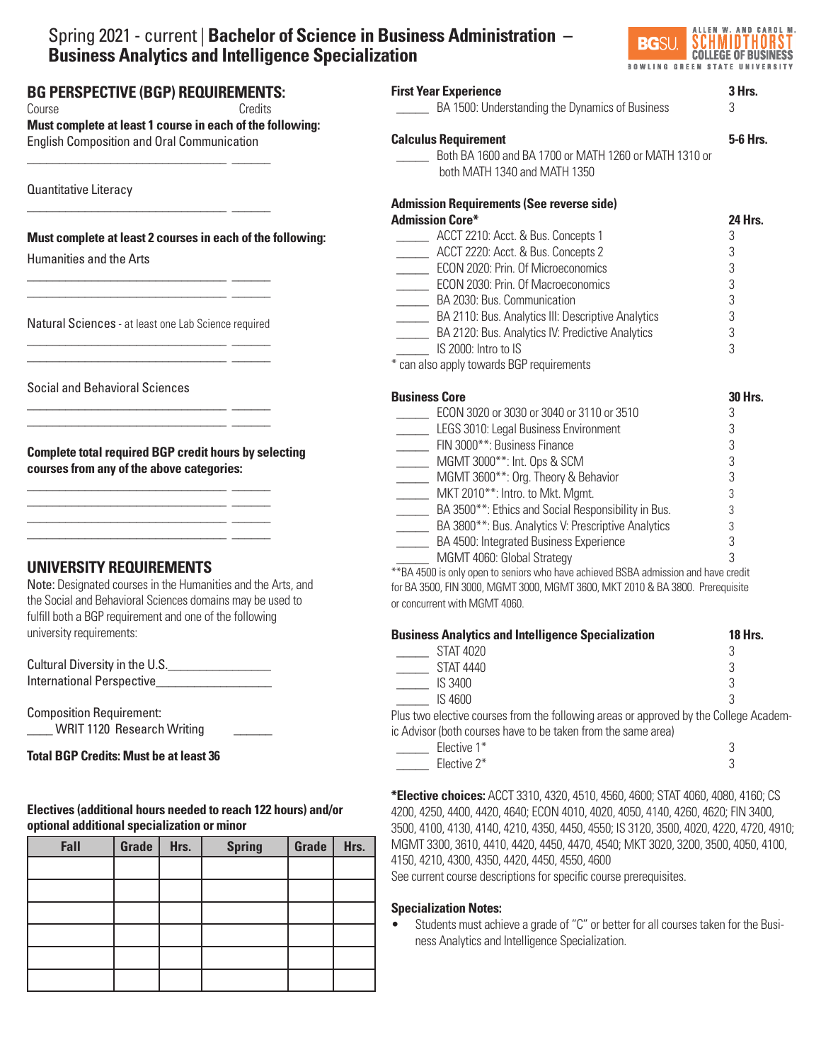# Spring 2021 - current | **Bachelor of Science in Business Administration – Business Analytics and Intelligence Specialization**



| <b>First Year Experience</b><br>BA 1500: Understanding the Dynamics of Business                                                                                                                                                                                                                                                                                                                                                                                                                                                                          | 3 Hrs.<br>3                                                      |
|----------------------------------------------------------------------------------------------------------------------------------------------------------------------------------------------------------------------------------------------------------------------------------------------------------------------------------------------------------------------------------------------------------------------------------------------------------------------------------------------------------------------------------------------------------|------------------------------------------------------------------|
| <b>Calculus Requirement</b><br>Both BA 1600 and BA 1700 or MATH 1260 or MATH 1310 or<br>both MATH 1340 and MATH 1350                                                                                                                                                                                                                                                                                                                                                                                                                                     | 5-6 Hrs.                                                         |
| <b>Admission Requirements (See reverse side)</b><br><b>Admission Core*</b><br>________ ACCT 2210: Acct. & Bus. Concepts 1<br>ACCT 2220: Acct. & Bus. Concepts 2<br>ECON 2020: Prin. Of Microeconomics<br>ECON 2030: Prin. Of Macroeconomics<br>BA 2030: Bus. Communication<br>BA 2110: Bus. Analytics III: Descriptive Analytics<br>BA 2120: Bus. Analytics IV: Predictive Analytics<br>IS 2000: Intro to IS<br>* can also apply towards BGP requirements                                                                                                | <b>24 Hrs.</b><br>3<br>3<br>3<br>3<br>3<br>3<br>3<br>3           |
| <b>Business Core</b><br>ECON 3020 or 3030 or 3040 or 3110 or 3510<br>LEGS 3010: Legal Business Environment<br>FIN 3000**: Business Finance<br>MGMT 3000**: Int. Ops & SCM<br>MGMT 3600**: Org. Theory & Behavior<br>MKT 2010 <sup>**</sup> : Intro. to Mkt. Mgmt.<br>BA 3500**: Ethics and Social Responsibility in Bus.<br>________ BA 3800**: Bus. Analytics V: Prescriptive Analytics<br>BA 4500: Integrated Business Experience<br>MGMT 4060: Global Strategy<br>** BA 4500 is only open to seniors who have achieved BSBA admission and have credit | <b>30 Hrs.</b><br>3<br>3<br>3<br>3<br>3<br>3<br>3<br>3<br>3<br>3 |

for BA 3500, FIN 3000, MGMT 3000, MGMT 3600, MKT 2010 & BA 3800. Prerequisite or concurrent with MGMT 4060.

| <b>Business Analytics and Intelligence Specialization</b>                             | <b>18 Hrs.</b> |
|---------------------------------------------------------------------------------------|----------------|
| STAT 4020                                                                             |                |
| <b>STAT 4440</b>                                                                      |                |
| IS 3400                                                                               |                |
| IS 4600                                                                               |                |
| Plus two elective courses from the following areas or approved by the College Academ- |                |
| ic Advisor (both courses have to be taken from the same area)                         |                |

| Elective 1*    |        |
|----------------|--------|
| Elective $2^*$ | $\sim$ |

**\*Elective choices:** ACCT 3310, 4320, 4510, 4560, 4600; STAT 4060, 4080, 4160; CS 4200, 4250, 4400, 4420, 4640; ECON 4010, 4020, 4050, 4140, 4260, 4620; FIN 3400, 3500, 4100, 4130, 4140, 4210, 4350, 4450, 4550; IS 3120, 3500, 4020, 4220, 4720, 4910; MGMT 3300, 3610, 4410, 4420, 4450, 4470, 4540; MKT 3020, 3200, 3500, 4050, 4100, 4150, 4210, 4300, 4350, 4420, 4450, 4550, 4600

See current course descriptions for specific course prerequisites.

# **Specialization Notes:**

• Students must achieve a grade of "C" or better for all courses taken for the Business Analytics and Intelligence Specialization.

# **BG PERSPECTIVE (BGP) REQUIREMENTS:**  Course Credits

\_\_\_\_\_\_\_\_\_\_\_\_\_\_\_\_\_\_\_\_\_\_\_\_\_\_\_\_\_\_\_ \_\_\_\_\_\_

\_\_\_\_\_\_\_\_\_\_\_\_\_\_\_\_\_\_\_\_\_\_\_\_\_\_\_\_\_\_\_ \_\_\_\_\_\_

**Must complete at least 1 course in each of the following:**  English Composition and Oral Communication

Quantitative Literacy

# **Must complete at least 2 courses in each of the following:**

Humanities and the Arts

Natural Sciences - at least one Lab Science required \_\_\_\_\_\_\_\_\_\_\_\_\_\_\_\_\_\_\_\_\_\_\_\_\_\_\_\_\_\_\_ \_\_\_\_\_\_

\_\_\_\_\_\_\_\_\_\_\_\_\_\_\_\_\_\_\_\_\_\_\_\_\_\_\_\_\_\_\_ \_\_\_\_\_\_

\_\_\_\_\_\_\_\_\_\_\_\_\_\_\_\_\_\_\_\_\_\_\_\_\_\_\_\_\_\_\_ \_\_\_\_\_\_ \_\_\_\_\_\_\_\_\_\_\_\_\_\_\_\_\_\_\_\_\_\_\_\_\_\_\_\_\_\_\_ \_\_\_\_\_\_

\_\_\_\_\_\_\_\_\_\_\_\_\_\_\_\_\_\_\_\_\_\_\_\_\_\_\_\_\_\_\_ \_\_\_\_\_\_ \_\_\_\_\_\_\_\_\_\_\_\_\_\_\_\_\_\_\_\_\_\_\_\_\_\_\_\_\_\_\_ \_\_\_\_\_\_ \_\_\_\_\_\_\_\_\_\_\_\_\_\_\_\_\_\_\_\_\_\_\_\_\_\_\_\_\_\_\_ \_\_\_\_\_\_ \_\_\_\_\_\_\_\_\_\_\_\_\_\_\_\_\_\_\_\_\_\_\_\_\_\_\_\_\_\_\_ \_\_\_\_\_\_

\_\_\_\_\_\_\_\_\_\_\_\_\_\_\_\_\_\_\_\_\_\_\_\_\_\_\_\_\_\_\_ \_\_\_\_\_\_ \_\_\_\_\_\_\_\_\_\_\_\_\_\_\_\_\_\_\_\_\_\_\_\_\_\_\_\_\_\_\_ \_\_\_\_\_\_

Social and Behavioral Sciences

**Complete total required BGP credit hours by selecting courses from any of the above categories:**

# **UNIVERSITY REQUIREMENTS**

Note: Designated courses in the Humanities and the Arts, and the Social and Behavioral Sciences domains may be used to fulfill both a BGP requirement and one of the following university requirements:

Cultural Diversity in the U.S.\_\_\_\_\_\_\_\_\_\_\_\_\_\_\_\_ International Perspective\_\_\_\_\_\_\_\_\_\_\_\_\_\_\_\_\_\_

Composition Requirement: \_\_\_\_ WRIT 1120 Research Writing \_\_\_\_\_\_

 $\overline{a}$ **Total BGP Credits: Must be at least 36**

**Electives (additional hours needed to reach 122 hours) and/or optional additional specialization or minor**

| Fall | Grade | Hrs. | <b>Spring</b> | Grade | Hrs. |
|------|-------|------|---------------|-------|------|
|      |       |      |               |       |      |
|      |       |      |               |       |      |
|      |       |      |               |       |      |
|      |       |      |               |       |      |
|      |       |      |               |       |      |
|      |       |      |               |       |      |